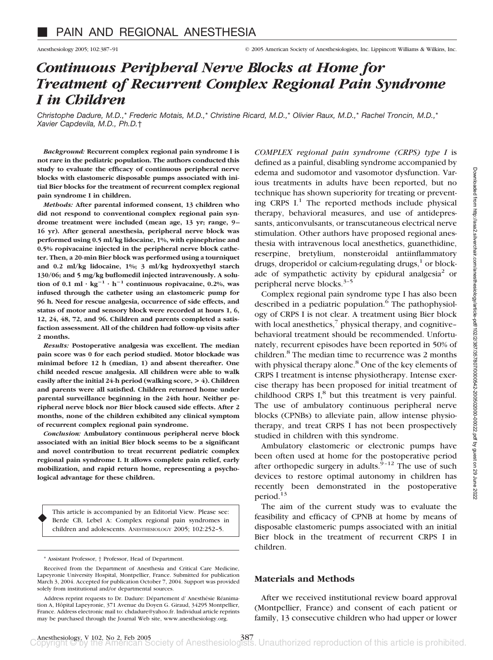# *Continuous Peripheral Nerve Blocks at Home for Treatment of Recurrent Complex Regional Pain Syndrome I in Children*

*Christophe Dadure, M.D.,*\* *Frederic Motais, M.D.,*\* *Christine Ricard, M.D.,*\* *Olivier Raux, M.D.,*\* *Rachel Troncin, M.D.,*\* *Xavier Capdevila, M.D., Ph.D.*†

*Background:* **Recurrent complex regional pain syndrome I is not rare in the pediatric population. The authors conducted this study to evaluate the efficacy of continuous peripheral nerve blocks with elastomeric disposable pumps associated with initial Bier blocks for the treatment of recurrent complex regional pain syndrome I in children.**

*Methods:* **After parental informed consent, 13 children who did not respond to conventional complex regional pain syndrome treatment were included (mean age, 13 yr; range, 9 – 16 yr). After general anesthesia, peripheral nerve block was performed using 0.5 ml/kg lidocaine, 1%, with epinephrine and 0.5% ropivacaine injected in the peripheral nerve block catheter. Then, a 20-min Bier block was performed using a tourniquet and 0.2 ml/kg lidocaine, 1%; 3 ml/kg hydroxyethyl starch 130/06; and 5 mg/kg buflomedil injected intravenously. A solution of 0.1 ml**  $\cdot$  kg<sup>-1</sup>  $\cdot$  h<sup>-1</sup> continuous ropivacaine, 0.2%, was **infused through the catheter using an elastomeric pump for 96 h. Need for rescue analgesia, occurrence of side effects, and status of motor and sensory block were recorded at hours 1, 6, 12, 24, 48, 72, and 96. Children and parents completed a satisfaction assessment. All of the children had follow-up visits after 2 months.**

*Results:* **Postoperative analgesia was excellent. The median pain score was 0 for each period studied. Motor blockade was minimal before 12 h (median, 1) and absent thereafter. One child needed rescue analgesia. All children were able to walk easily after the initial 24-h period (walking score, > 4). Children and parents were all satisfied. Children returned home under parental surveillance beginning in the 24th hour. Neither peripheral nerve block nor Bier block caused side effects. After 2 months, none of the children exhibited any clinical symptom of recurrent complex regional pain syndrome.**

*Conclusion:* **Ambulatory continuous peripheral nerve block associated with an initial Bier block seems to be a significant and novel contribution to treat recurrent pediatric complex regional pain syndrome I. It allows complete pain relief, early mobilization, and rapid return home, representing a psychological advantage for these children.**

This article is accompanied by an Editorial View. Please see: Berde CB, Lebel A: Complex regional pain syndromes in children and adolescents. ANESTHESIOLOGY 2005; 102:252–5. ♦

\* Assistant Professor, † Professor, Head of Department.

*COMPLEX regional pain syndrome (CRPS) type I* is defined as a painful, disabling syndrome accompanied by edema and sudomotor and vasomotor dysfunction. Various treatments in adults have been reported, but no technique has shown superiority for treating or preventing CRPS  $I<sup>1</sup>$ . The reported methods include physical therapy, behavioral measures, and use of antidepressants, anticonvulsants, or transcutaneous electrical nerve stimulation. Other authors have proposed regional anesthesia with intravenous local anesthetics, guanethidine, reserpine, bretylium, nonsteroidal antiinflammatory drugs, droperidol or calcium-regulating drugs, $<sup>1</sup>$  or block-</sup> ade of sympathetic activity by epidural analgesia<sup>2</sup> or peripheral nerve blocks.3–5

Complex regional pain syndrome type I has also been described in a pediatric population.<sup>6</sup> The pathophysiology of CRPS I is not clear. A treatment using Bier block with local anesthetics, $\frac{7}{7}$  physical therapy, and cognitive– behavioral treatment should be recommended. Unfortunately, recurrent episodes have been reported in 50% of children.<sup>8</sup> The median time to recurrence was 2 months with physical therapy alone.<sup>8</sup> One of the key elements of CRPS I treatment is intense physiotherapy. Intense exercise therapy has been proposed for initial treatment of childhood CRPS  $I<sub>s</sub><sup>8</sup>$  but this treatment is very painful. The use of ambulatory continuous peripheral nerve blocks (CPNBs) to alleviate pain, allow intense physiotherapy, and treat CRPS I has not been prospectively studied in children with this syndrome.

Ambulatory elastomeric or electronic pumps have been often used at home for the postoperative period after orthopedic surgery in adults.<sup>9-12</sup> The use of such devices to restore optimal autonomy in children has recently been demonstrated in the postoperative period.<sup>13</sup>

The aim of the current study was to evaluate the feasibility and efficacy of CPNB at home by means of disposable elastomeric pumps associated with an initial Bier block in the treatment of recurrent CRPS I in children.

## **Materials and Methods**

After we received institutional review board approval (Montpellier, France) and consent of each patient or family, 13 consecutive children who had upper or lower

Received from the Department of Anesthesia and Critical Care Medicine, Lapeyronie University Hospital, Montpellier, France. Submitted for publication March 3, 2004. Accepted for publication October 7, 2004. Support was provided solely from institutional and/or departmental sources.

Address reprint requests to Dr. Dadure: Département d' Anesthésie Réanimation A, Hôpital Lapeyronie, 371 Avenue du Doyen G. Giraud, 34295 Montpellier, France. Address electronic mail to: chdadure@yahoo.fr. Individual article reprints may be purchased through the Journal Web site, www.anesthesiology.org.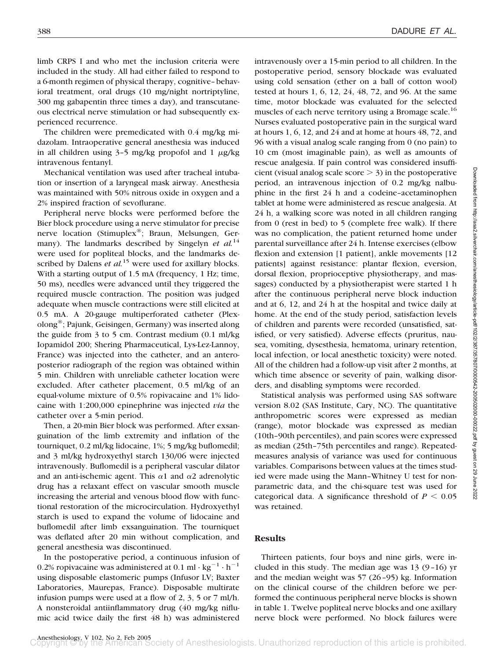limb CRPS I and who met the inclusion criteria were included in the study. All had either failed to respond to a 6-month regimen of physical therapy, cognitive–behavioral treatment, oral drugs (10 mg/night nortriptyline, 300 mg gabapentin three times a day), and transcutaneous electrical nerve stimulation or had subsequently experienced recurrence.

The children were premedicated with 0.4 mg/kg midazolam. Intraoperative general anesthesia was induced in all children using  $3-5$  mg/kg propofol and  $1 \mu g/kg$ intravenous fentanyl.

Mechanical ventilation was used after tracheal intubation or insertion of a laryngeal mask airway. Anesthesia was maintained with 50% nitrous oxide in oxygen and a 2% inspired fraction of sevoflurane.

Peripheral nerve blocks were performed before the Bier block procedure using a nerve stimulator for precise nerve location (Stimuplex®; Braun, Melsungen, Germany). The landmarks described by Singelyn *et al.*<sup>14</sup> were used for popliteal blocks, and the landmarks described by Dalens *et al.*<sup>15</sup> were used for axillary blocks. With a starting output of 1.5 mA (frequency, 1 Hz; time, 50 ms), needles were advanced until they triggered the required muscle contraction. The position was judged adequate when muscle contractions were still elicited at 0.5 mA. A 20-gauge multiperforated catheter (Plexolong®; Pajunk, Geisingen, Germany) was inserted along the guide from 3 to 5 cm. Contrast medium (0.1 ml/kg Iopamidol 200; Shering Pharmaceutical, Lys-Lez-Lannoy, France) was injected into the catheter, and an anteroposterior radiograph of the region was obtained within 5 min. Children with unreliable catheter location were excluded. After catheter placement, 0.5 ml/kg of an equal-volume mixture of 0.5% ropivacaine and 1% lidocaine with 1:200,000 epinephrine was injected *via* the catheter over a 5-min period.

Then, a 20-min Bier block was performed. After exsanguination of the limb extremity and inflation of the tourniquet, 0.2 ml/kg lidocaine, 1%; 5 mg/kg buflomedil; and 3 ml/kg hydroxyethyl starch 130/06 were injected intravenously. Buflomedil is a peripheral vascular dilator and an anti-ischemic agent. This  $\alpha$ 1 and  $\alpha$ 2 adrenolytic drug has a relaxant effect on vascular smooth muscle increasing the arterial and venous blood flow with functional restoration of the microcirculation. Hydroxyethyl starch is used to expand the volume of lidocaine and buflomedil after limb exsanguination. The tourniquet was deflated after 20 min without complication, and general anesthesia was discontinued.

In the postoperative period, a continuous infusion of 0.2% ropivacaine was administered at 0.1 ml  $\cdot$  kg<sup>-1</sup>  $\cdot$  h<sup>-1</sup> using disposable elastomeric pumps (Infusor LV; Baxter Laboratories, Maurepas, France). Disposable multirate infusion pumps were used at a flow of 2, 3, 5 or 7 ml/h. A nonsteroidal antiinflammatory drug (40 mg/kg niflumic acid twice daily the first 48 h) was administered

intravenously over a 15-min period to all children. In the postoperative period, sensory blockade was evaluated using cold sensation (ether on a ball of cotton wool) tested at hours 1, 6, 12, 24, 48, 72, and 96. At the same time, motor blockade was evaluated for the selected muscles of each nerve territory using a Bromage scale.<sup>16</sup> Nurses evaluated postoperative pain in the surgical ward at hours 1, 6, 12, and 24 and at home at hours 48, 72, and 96 with a visual analog scale ranging from 0 (no pain) to 10 cm (most imaginable pain), as well as amounts of rescue analgesia. If pain control was considered insufficient (visual analog scale score  $>$  3) in the postoperative period, an intravenous injection of 0.2 mg/kg nalbuphine in the first 24 h and a codeine–acetaminophen tablet at home were administered as rescue analgesia. At 24 h, a walking score was noted in all children ranging from 0 (rest in bed) to 5 (complete free walk). If there was no complication, the patient returned home under parental surveillance after 24 h. Intense exercises (elbow flexion and extension [1 patient], ankle movements [12 patients] against resistance: plantar flexion, eversion, dorsal flexion, proprioceptive physiotherapy, and massages) conducted by a physiotherapist were started 1 h after the continuous peripheral nerve block induction and at 6, 12, and 24 h at the hospital and twice daily at home. At the end of the study period, satisfaction levels of children and parents were recorded (unsatisfied, satisfied, or very satisfied). Adverse effects (pruritus, nausea, vomiting, dysesthesia, hematoma, urinary retention, local infection, or local anesthetic toxicity) were noted. All of the children had a follow-up visit after 2 months, at which time absence or severity of pain, walking disorders, and disabling symptoms were recorded.

Statistical analysis was performed using SAS software version 8.02 (SAS Institute, Cary, NC). The quantitative anthropometric scores were expressed as median (range), motor blockade was expressed as median (10th–90th percentiles), and pain scores were expressed as median (25th–75th percentiles and range). Repeatedmeasures analysis of variance was used for continuous variables. Comparisons between values at the times studied were made using the Mann–Whitney U test for nonparametric data, and the chi-square test was used for categorical data. A significance threshold of  $P \leq 0.05$ was retained.

## **Results**

Thirteen patients, four boys and nine girls, were included in this study. The median age was  $13 (9-16)$  yr and the median weight was 57 (26–95) kg. Information on the clinical course of the children before we performed the continuous peripheral nerve blocks is shown in table 1. Twelve popliteal nerve blocks and one axillary nerve block were performed. No block failures were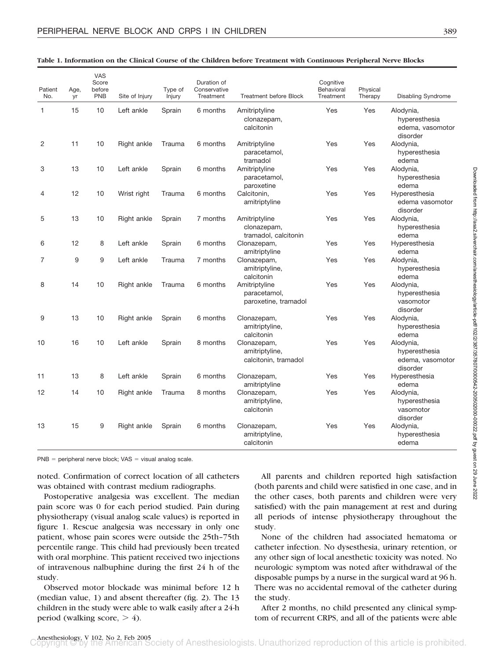| Patient<br>No. | Age,<br>yr | VAS<br>Score<br>before<br><b>PNB</b> | Site of Injury | Type of<br>Injury | Duration of<br>Conservative<br>Treatment | <b>Treatment before Block</b>                         | Cognitive<br>Behavioral<br>Treatment | Physical<br>Therapy | <b>Disabling Syndrome</b>                                  |
|----------------|------------|--------------------------------------|----------------|-------------------|------------------------------------------|-------------------------------------------------------|--------------------------------------|---------------------|------------------------------------------------------------|
| 1              | 15         | 10                                   | Left ankle     | Sprain            | 6 months                                 | Amitriptyline<br>clonazepam,<br>calcitonin            | Yes                                  | Yes                 | Alodynia,<br>hyperesthesia<br>edema, vasomotor<br>disorder |
| 2              | 11         | 10                                   | Right ankle    | Trauma            | 6 months                                 | Amitriptyline<br>paracetamol,<br>tramadol             | Yes                                  | Yes                 | Alodynia,<br>hyperesthesia<br>edema                        |
| 3              | 13         | 10                                   | Left ankle     | Sprain            | 6 months                                 | Amitriptyline<br>paracetamol,<br>paroxetine           | Yes                                  | Yes                 | Alodynia,<br>hyperesthesia<br>edema                        |
| 4              | 12         | 10                                   | Wrist right    | Trauma            | 6 months                                 | Calcitonin,<br>amitriptyline                          | Yes                                  | Yes                 | Hyperesthesia<br>edema vasomotor<br>disorder               |
| 5              | 13         | 10                                   | Right ankle    | Sprain            | 7 months                                 | Amitriptyline<br>clonazepam,<br>tramadol, calcitonin  | Yes                                  | Yes                 | Alodynia,<br>hyperesthesia<br>edema                        |
| 6              | 12         | 8                                    | Left ankle     | Sprain            | 6 months                                 | Clonazepam,<br>amitriptyline                          | Yes                                  | Yes                 | Hyperesthesia<br>edema                                     |
| 7              | 9          | 9                                    | Left ankle     | Trauma            | 7 months                                 | Clonazepam,<br>amitriptyline,<br>calcitonin           | Yes                                  | Yes                 | Alodynia,<br>hyperesthesia<br>edema                        |
| 8              | 14         | 10                                   | Right ankle    | Trauma            | 6 months                                 | Amitriptyline<br>paracetamol,<br>paroxetine, tramadol | Yes                                  | Yes                 | Alodynia,<br>hyperesthesia<br>vasomotor<br>disorder        |
| 9              | 13         | 10                                   | Right ankle    | Sprain            | 6 months                                 | Clonazepam,<br>amitriptyline,<br>calcitonin           | Yes                                  | Yes                 | Alodynia,<br>hyperesthesia<br>edema                        |
| 10             | 16         | 10                                   | Left ankle     | Sprain            | 8 months                                 | Clonazepam,<br>amitriptyline,<br>calcitonin, tramadol | Yes                                  | Yes                 | Alodynia,<br>hyperesthesia<br>edema, vasomotor<br>disorder |
| 11             | 13         | 8                                    | Left ankle     | Sprain            | 6 months                                 | Clonazepam,<br>amitriptyline                          | Yes                                  | Yes                 | Hyperesthesia<br>edema                                     |
| 12             | 14         | 10                                   | Right ankle    | Trauma            | 8 months                                 | Clonazepam,<br>amitriptyline,<br>calcitonin           | Yes                                  | Yes                 | Alodynia,<br>hyperesthesia<br>vasomotor<br>disorder        |
| 13             | 15         | 9                                    | Right ankle    | Sprain            | 6 months                                 | Clonazepam,<br>amitriptyline,<br>calcitonin           | Yes                                  | Yes                 | Alodynia,<br>hyperesthesia<br>edema                        |

#### **Table 1. Information on the Clinical Course of the Children before Treatment with Continuous Peripheral Nerve Blocks**

 $PNB = peripheral$  nerve block; VAS = visual analog scale.

noted. Confirmation of correct location of all catheters was obtained with contrast medium radiographs.

Postoperative analgesia was excellent. The median pain score was 0 for each period studied. Pain during physiotherapy (visual analog scale values) is reported in figure 1. Rescue analgesia was necessary in only one patient, whose pain scores were outside the 25th–75th percentile range. This child had previously been treated with oral morphine. This patient received two injections of intravenous nalbuphine during the first 24 h of the study.

Observed motor blockade was minimal before 12 h (median value, 1) and absent thereafter (fig. 2). The 13 children in the study were able to walk easily after a 24-h period (walking score,  $> 4$ ).

All parents and children reported high satisfaction (both parents and child were satisfied in one case, and in the other cases, both parents and children were very satisfied) with the pain management at rest and during all periods of intense physiotherapy throughout the study.

None of the children had associated hematoma or catheter infection. No dysesthesia, urinary retention, or any other sign of local anesthetic toxicity was noted. No neurologic symptom was noted after withdrawal of the disposable pumps by a nurse in the surgical ward at 96 h. There was no accidental removal of the catheter during the study.

After 2 months, no child presented any clinical symptom of recurrent CRPS, and all of the patients were able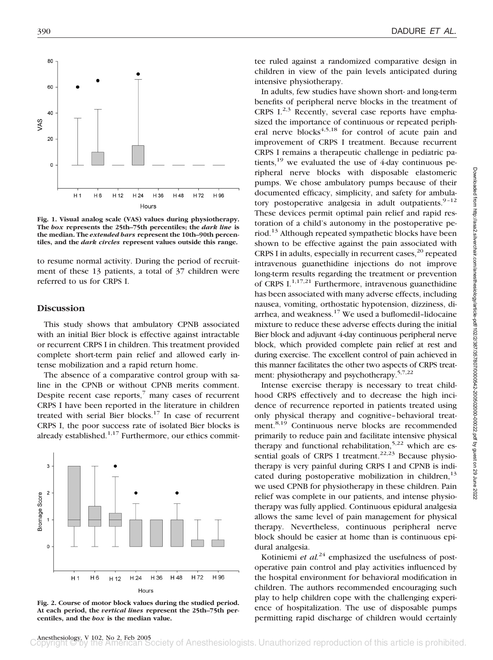

**Fig. 1. Visual analog scale (VAS) values during physiotherapy. The** *box* **represents the 25th–75th percentiles; the** *dark line* **is the median. The** *extended bars* **represent the 10th–90th percentiles, and the** *dark circles* **represent values outside this range.**

to resume normal activity. During the period of recruitment of these 13 patients, a total of 37 children were referred to us for CRPS I.

## **Discussion**

This study shows that ambulatory CPNB associated with an initial Bier block is effective against intractable or recurrent CRPS I in children. This treatment provided complete short-term pain relief and allowed early intense mobilization and a rapid return home.

The absence of a comparative control group with saline in the CPNB or without CPNB merits comment. Despite recent case reports, $\bar{y}$  many cases of recurrent CRPS I have been reported in the literature in children treated with serial Bier blocks. $17$  In case of recurrent CRPS I, the poor success rate of isolated Bier blocks is already established. $1,17$  Furthermore, our ethics commit-



**Fig. 2. Course of motor block values during the studied period. At each period, the** *vertical lines* **represent the 25th–75th percentiles, and the** *box* **is the median value.**

tee ruled against a randomized comparative design in children in view of the pain levels anticipated during intensive physiotherapy.

In adults, few studies have shown short- and long-term benefits of peripheral nerve blocks in the treatment of CRPS  $I^{2,3}$  Recently, several case reports have emphasized the importance of continuous or repeated peripheral nerve  $blocks^{4,5,18}$  for control of acute pain and improvement of CRPS I treatment. Because recurrent CRPS I remains a therapeutic challenge in pediatric patients,<sup>19</sup> we evaluated the use of 4-day continuous peripheral nerve blocks with disposable elastomeric pumps. We chose ambulatory pumps because of their documented efficacy, simplicity, and safety for ambulatory postoperative analgesia in adult outpatients. $9-12$ These devices permit optimal pain relief and rapid restoration of a child's autonomy in the postoperative period.<sup>13</sup> Although repeated sympathetic blocks have been shown to be effective against the pain associated with CRPS I in adults, especially in recurrent cases,  $20$  repeated intravenous guanethidine injections do not improve long-term results regarding the treatment or prevention of CRPS  $I^{1,17,21}$  Furthermore, intravenous guanethidine has been associated with many adverse effects, including nausea, vomiting, orthostatic hypotension, dizziness, diarrhea, and weakness.<sup>17</sup> We used a buflomedil-lidocaine mixture to reduce these adverse effects during the initial Bier block and adjuvant 4-day continuous peripheral nerve block, which provided complete pain relief at rest and during exercise. The excellent control of pain achieved in this manner facilitates the other two aspects of CRPS treatment: physiotherapy and psychotherapy.<sup>5,7,22</sup>

Intense exercise therapy is necessary to treat childhood CRPS effectively and to decrease the high incidence of recurrence reported in patients treated using only physical therapy and cognitive–behavioral treatment.<sup>8,19</sup> Continuous nerve blocks are recommended primarily to reduce pain and facilitate intensive physical therapy and functional rehabilitation,  $5.22$  which are essential goals of CRPS I treatment.<sup>22,23</sup> Because physiotherapy is very painful during CRPS I and CPNB is indicated during postoperative mobilization in children, $^{13}$ we used CPNB for physiotherapy in these children. Pain relief was complete in our patients, and intense physiotherapy was fully applied. Continuous epidural analgesia allows the same level of pain management for physical therapy. Nevertheless, continuous peripheral nerve block should be easier at home than is continuous epidural analgesia.

Kotiniemi *et al.*<sup>24</sup> emphasized the usefulness of postoperative pain control and play activities influenced by the hospital environment for behavioral modification in children. The authors recommended encouraging such play to help children cope with the challenging experience of hospitalization. The use of disposable pumps permitting rapid discharge of children would certainly